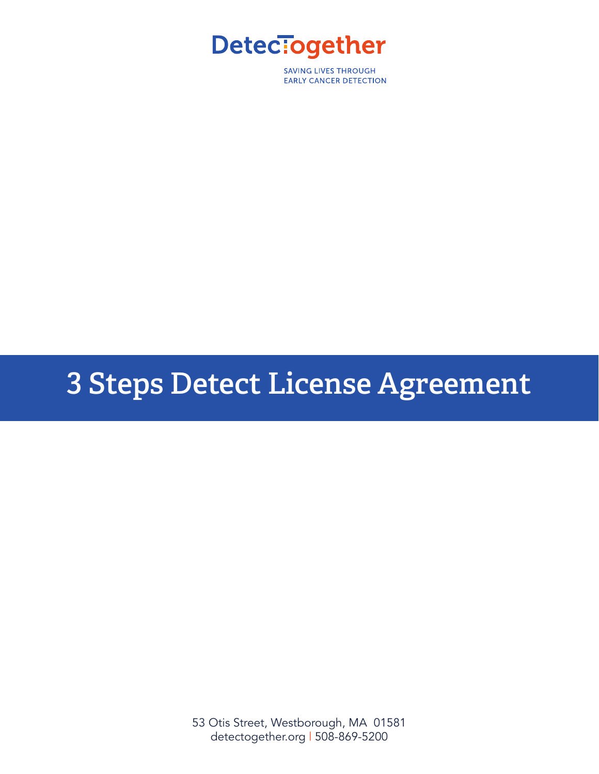

**SAVING LIVES THROUGH EARLY CANCER DETECTION** 

# **3 Steps Detect License Agreement**

53 Otis Street, Westborough, MA 01581 detectogether.org | 508-869-5200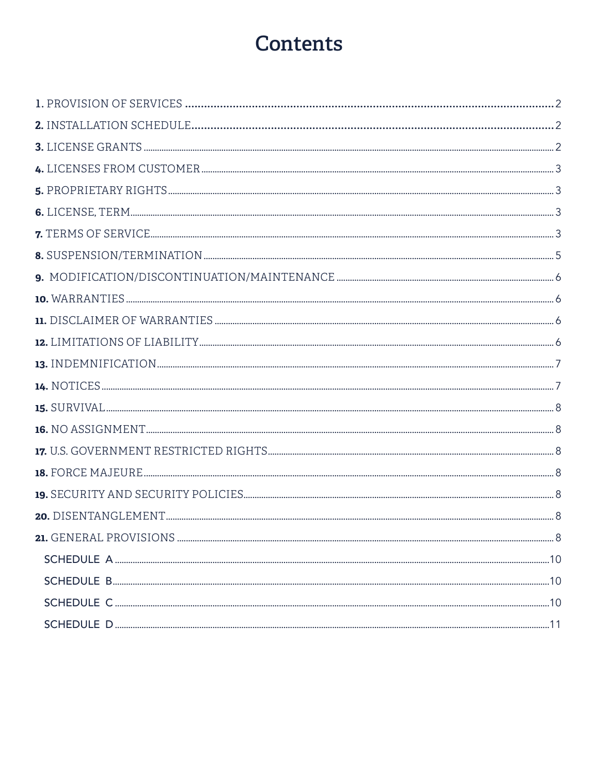## **Contents**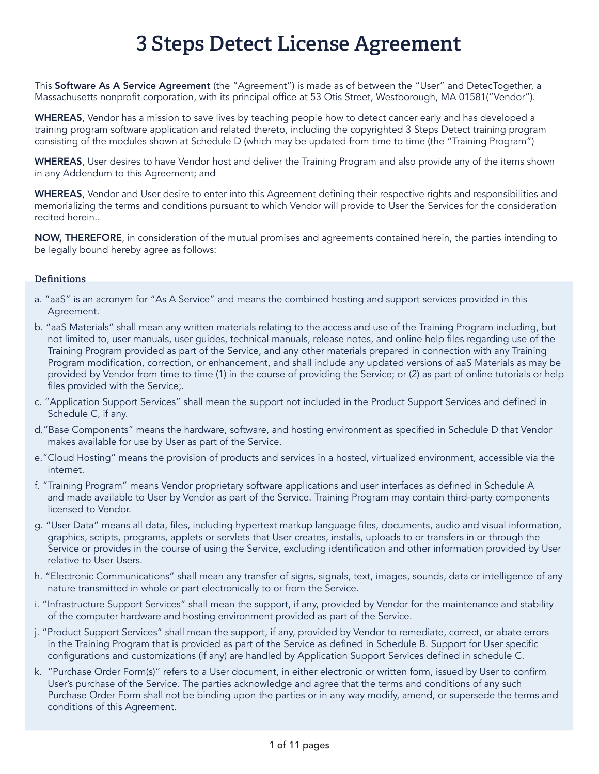## **3 Steps Detect License Agreement**

This Software As A Service Agreement (the "Agreement") is made as of between the "User" and DetecTogether, a Massachusetts nonprofit corporation, with its principal office at 53 Otis Street, Westborough, MA 01581("Vendor").

WHEREAS, Vendor has a mission to save lives by teaching people how to detect cancer early and has developed a training program software application and related thereto, including the copyrighted 3 Steps Detect training program consisting of the modules shown at Schedule D (which may be updated from time to time (the "Training Program")

WHEREAS, User desires to have Vendor host and deliver the Training Program and also provide any of the items shown in any Addendum to this Agreement; and

WHEREAS, Vendor and User desire to enter into this Agreement defining their respective rights and responsibilities and memorializing the terms and conditions pursuant to which Vendor will provide to User the Services for the consideration recited herein..

NOW, THEREFORE, in consideration of the mutual promises and agreements contained herein, the parties intending to be legally bound hereby agree as follows:

#### **Definitions**

- a. "aaS" is an acronym for "As A Service" and means the combined hosting and support services provided in this Agreement.
- b. "aaS Materials" shall mean any written materials relating to the access and use of the Training Program including, but not limited to, user manuals, user guides, technical manuals, release notes, and online help files regarding use of the Training Program provided as part of the Service, and any other materials prepared in connection with any Training Program modification, correction, or enhancement, and shall include any updated versions of aaS Materials as may be provided by Vendor from time to time (1) in the course of providing the Service; or (2) as part of online tutorials or help files provided with the Service;.
- c. "Application Support Services" shall mean the support not included in the Product Support Services and defined in Schedule C, if any.
- d."Base Components" means the hardware, software, and hosting environment as specified in Schedule D that Vendor makes available for use by User as part of the Service.
- e."Cloud Hosting" means the provision of products and services in a hosted, virtualized environment, accessible via the internet.
- f. "Training Program" means Vendor proprietary software applications and user interfaces as defined in Schedule A and made available to User by Vendor as part of the Service. Training Program may contain third-party components licensed to Vendor.
- g. "User Data" means all data, files, including hypertext markup language files, documents, audio and visual information, graphics, scripts, programs, applets or servlets that User creates, installs, uploads to or transfers in or through the Service or provides in the course of using the Service, excluding identification and other information provided by User relative to User Users.
- h. "Electronic Communications" shall mean any transfer of signs, signals, text, images, sounds, data or intelligence of any nature transmitted in whole or part electronically to or from the Service.
- i. "Infrastructure Support Services" shall mean the support, if any, provided by Vendor for the maintenance and stability of the computer hardware and hosting environment provided as part of the Service.
- j. "Product Support Services" shall mean the support, if any, provided by Vendor to remediate, correct, or abate errors in the Training Program that is provided as part of the Service as defined in Schedule B. Support for User specific configurations and customizations (if any) are handled by Application Support Services defined in schedule C.
- k. "Purchase Order Form(s)" refers to a User document, in either electronic or written form, issued by User to confirm User's purchase of the Service. The parties acknowledge and agree that the terms and conditions of any such Purchase Order Form shall not be binding upon the parties or in any way modify, amend, or supersede the terms and conditions of this Agreement.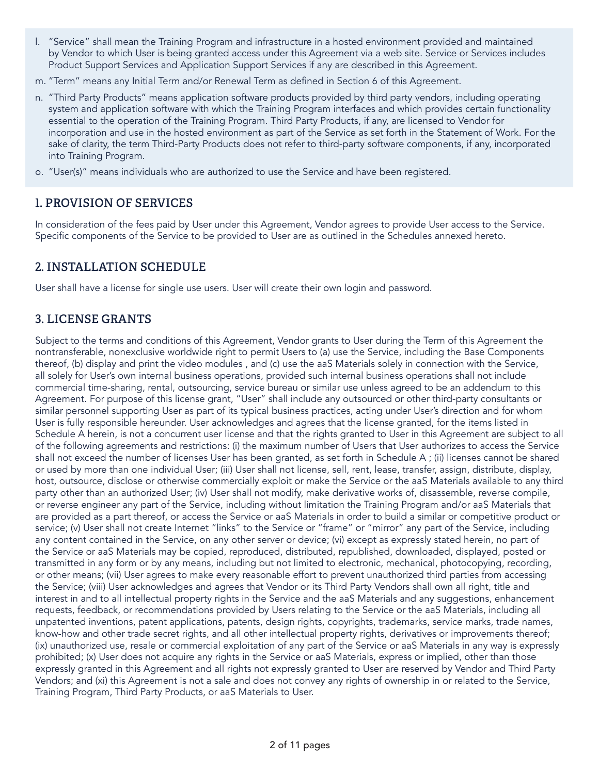- l. "Service" shall mean the Training Program and infrastructure in a hosted environment provided and maintained by Vendor to which User is being granted access under this Agreement via a web site. Service or Services includes Product Support Services and Application Support Services if any are described in this Agreement.
- m. "Term" means any Initial Term and/or Renewal Term as defined in Section 6 of this Agreement.
- n. "Third Party Products" means application software products provided by third party vendors, including operating system and application software with which the Training Program interfaces and which provides certain functionality essential to the operation of the Training Program. Third Party Products, if any, are licensed to Vendor for incorporation and use in the hosted environment as part of the Service as set forth in the Statement of Work. For the sake of clarity, the term Third-Party Products does not refer to third-party software components, if any, incorporated into Training Program.
- o. "User(s)" means individuals who are authorized to use the Service and have been registered.

## **1. PROVISION OF SERVICES**

In consideration of the fees paid by User under this Agreement, Vendor agrees to provide User access to the Service. Specific components of the Service to be provided to User are as outlined in the Schedules annexed hereto.

## **2. INSTALLATION SCHEDULE**

User shall have a license for single use users. User will create their own login and password.

## **3. LICENSE GRANTS**

Subject to the terms and conditions of this Agreement, Vendor grants to User during the Term of this Agreement the nontransferable, nonexclusive worldwide right to permit Users to (a) use the Service, including the Base Components thereof, (b) display and print the video modules , and (c) use the aaS Materials solely in connection with the Service, all solely for User's own internal business operations, provided such internal business operations shall not include commercial time-sharing, rental, outsourcing, service bureau or similar use unless agreed to be an addendum to this Agreement. For purpose of this license grant, "User" shall include any outsourced or other third-party consultants or similar personnel supporting User as part of its typical business practices, acting under User's direction and for whom User is fully responsible hereunder. User acknowledges and agrees that the license granted, for the items listed in Schedule A herein, is not a concurrent user license and that the rights granted to User in this Agreement are subject to all of the following agreements and restrictions: (i) the maximum number of Users that User authorizes to access the Service shall not exceed the number of licenses User has been granted, as set forth in Schedule A ; (ii) licenses cannot be shared or used by more than one individual User; (iii) User shall not license, sell, rent, lease, transfer, assign, distribute, display, host, outsource, disclose or otherwise commercially exploit or make the Service or the aaS Materials available to any third party other than an authorized User; (iv) User shall not modify, make derivative works of, disassemble, reverse compile, or reverse engineer any part of the Service, including without limitation the Training Program and/or aaS Materials that are provided as a part thereof, or access the Service or aaS Materials in order to build a similar or competitive product or service; (v) User shall not create Internet "links" to the Service or "frame" or "mirror" any part of the Service, including any content contained in the Service, on any other server or device; (vi) except as expressly stated herein, no part of the Service or aaS Materials may be copied, reproduced, distributed, republished, downloaded, displayed, posted or transmitted in any form or by any means, including but not limited to electronic, mechanical, photocopying, recording, or other means; (vii) User agrees to make every reasonable effort to prevent unauthorized third parties from accessing the Service; (viii) User acknowledges and agrees that Vendor or its Third Party Vendors shall own all right, title and interest in and to all intellectual property rights in the Service and the aaS Materials and any suggestions, enhancement requests, feedback, or recommendations provided by Users relating to the Service or the aaS Materials, including all unpatented inventions, patent applications, patents, design rights, copyrights, trademarks, service marks, trade names, know-how and other trade secret rights, and all other intellectual property rights, derivatives or improvements thereof; (ix) unauthorized use, resale or commercial exploitation of any part of the Service or aaS Materials in any way is expressly prohibited; (x) User does not acquire any rights in the Service or aaS Materials, express or implied, other than those expressly granted in this Agreement and all rights not expressly granted to User are reserved by Vendor and Third Party Vendors; and (xi) this Agreement is not a sale and does not convey any rights of ownership in or related to the Service, Training Program, Third Party Products, or aaS Materials to User.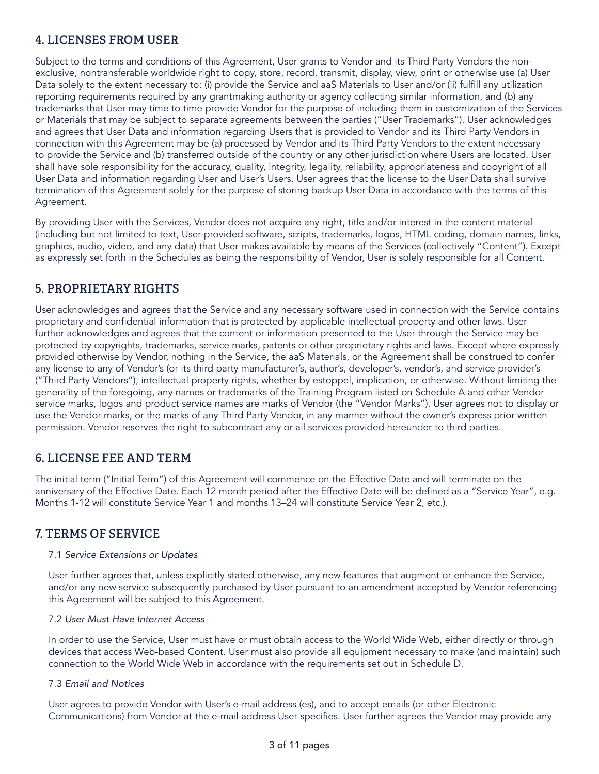## **4. LICENSES FROM USER**

Subject to the terms and conditions of this Agreement, User grants to Vendor and its Third Party Vendors the nonexclusive, nontransferable worldwide right to copy, store, record, transmit, display, view, print or otherwise use (a) User Data solely to the extent necessary to: (i) provide the Service and aaS Materials to User and/or (ii) fulfill any utilization reporting requirements required by any grantmaking authority or agency collecting similar information, and (b) any trademarks that User may time to time provide Vendor for the purpose of including them in customization of the Services or Materials that may be subject to separate agreements between the parties ("User Trademarks"). User acknowledges and agrees that User Data and information regarding Users that is provided to Vendor and its Third Party Vendors in connection with this Agreement may be (a) processed by Vendor and its Third Party Vendors to the extent necessary to provide the Service and (b) transferred outside of the country or any other jurisdiction where Users are located. User shall have sole responsibility for the accuracy, quality, integrity, legality, reliability, appropriateness and copyright of all User Data and information regarding User and User's Users. User agrees that the license to the User Data shall survive termination of this Agreement solely for the purpose of storing backup User Data in accordance with the terms of this Agreement.

By providing User with the Services, Vendor does not acquire any right, title and/or interest in the content material (including but not limited to text, User-provided software, scripts, trademarks, logos, HTML coding, domain names, links, graphics, audio, video, and any data) that User makes available by means of the Services (collectively "Content"). Except as expressly set forth in the Schedules as being the responsibility of Vendor, User is solely responsible for all Content.

## **5. PROPRIETARY RIGHTS**

User acknowledges and agrees that the Service and any necessary software used in connection with the Service contains proprietary and confidential information that is protected by applicable intellectual property and other laws. User further acknowledges and agrees that the content or information presented to the User through the Service may be protected by copyrights, trademarks, service marks, patents or other proprietary rights and laws. Except where expressly provided otherwise by Vendor, nothing in the Service, the aaS Materials, or the Agreement shall be construed to confer any license to any of Vendor's (or its third party manufacturer's, author's, developer's, vendor's, and service provider's ("Third Party Vendors"), intellectual property rights, whether by estoppel, implication, or otherwise. Without limiting the generality of the foregoing, any names or trademarks of the Training Program listed on Schedule A and other Vendor service marks, logos and product service names are marks of Vendor (the "Vendor Marks"). User agrees not to display or use the Vendor marks, or the marks of any Third Party Vendor, in any manner without the owner's express prior written permission. Vendor reserves the right to subcontract any or all services provided hereunder to third parties.

## **6. LICENSE FEE AND TERM**

The initial term ("Initial Term") of this Agreement will commence on the Effective Date and will terminate on the anniversary of the Effective Date. Each 12 month period after the Effective Date will be defined as a "Service Year", e.g. Months 1-12 will constitute Service Year 1 and months 13–24 will constitute Service Year 2, etc.).

## **7. TERMS OF SERVICE**

#### 7.1 *Service Extensions or Updates*

User further agrees that, unless explicitly stated otherwise, any new features that augment or enhance the Service, and/or any new service subsequently purchased by User pursuant to an amendment accepted by Vendor referencing this Agreement will be subject to this Agreement.

#### 7.2 *User Must Have Internet Access*

In order to use the Service, User must have or must obtain access to the World Wide Web, either directly or through devices that access Web-based Content. User must also provide all equipment necessary to make (and maintain) such connection to the World Wide Web in accordance with the requirements set out in Schedule D.

#### 7.3 *Email and Notices*

User agrees to provide Vendor with User's e-mail address (es), and to accept emails (or other Electronic Communications) from Vendor at the e-mail address User specifies. User further agrees the Vendor may provide any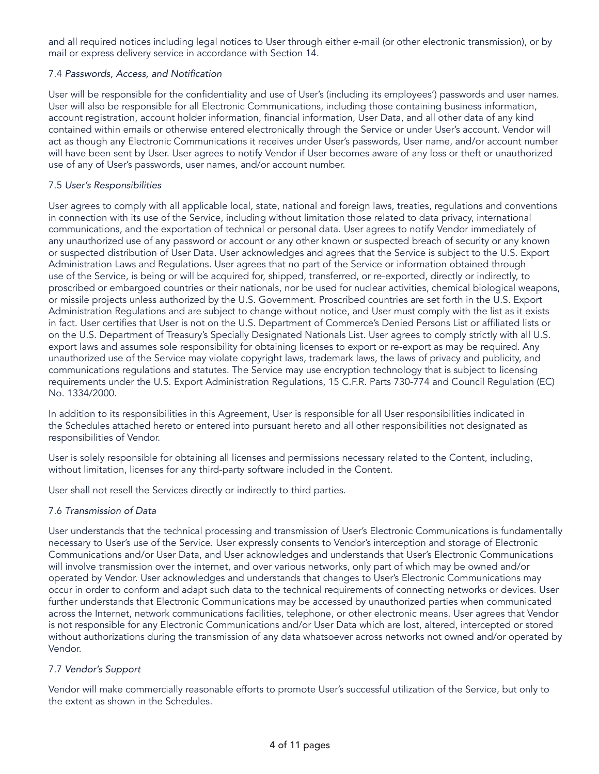and all required notices including legal notices to User through either e-mail (or other electronic transmission), or by mail or express delivery service in accordance with Section 14.

#### 7.4 Passwords, Access, and Notification

User will be responsible for the confidentiality and use of User's (including its employees') passwords and user names. User will also be responsible for all Electronic Communications, including those containing business information, account registration, account holder information, financial information, User Data, and all other data of any kind contained within emails or otherwise entered electronically through the Service or under User's account. Vendor will act as though any Electronic Communications it receives under User's passwords, User name, and/or account number will have been sent by User. User agrees to notify Vendor if User becomes aware of any loss or theft or unauthorized use of any of User's passwords, user names, and/or account number.

#### 7.5 *User's Responsibilities*

User agrees to comply with all applicable local, state, national and foreign laws, treaties, regulations and conventions in connection with its use of the Service, including without limitation those related to data privacy, international communications, and the exportation of technical or personal data. User agrees to notify Vendor immediately of any unauthorized use of any password or account or any other known or suspected breach of security or any known or suspected distribution of User Data. User acknowledges and agrees that the Service is subject to the U.S. Export Administration Laws and Regulations. User agrees that no part of the Service or information obtained through use of the Service, is being or will be acquired for, shipped, transferred, or re-exported, directly or indirectly, to proscribed or embargoed countries or their nationals, nor be used for nuclear activities, chemical biological weapons, or missile projects unless authorized by the U.S. Government. Proscribed countries are set forth in the U.S. Export Administration Regulations and are subject to change without notice, and User must comply with the list as it exists in fact. User certifies that User is not on the U.S. Department of Commerce's Denied Persons List or affiliated lists or on the U.S. Department of Treasury's Specially Designated Nationals List. User agrees to comply strictly with all U.S. export laws and assumes sole responsibility for obtaining licenses to export or re-export as may be required. Any unauthorized use of the Service may violate copyright laws, trademark laws, the laws of privacy and publicity, and communications regulations and statutes. The Service may use encryption technology that is subject to licensing requirements under the U.S. Export Administration Regulations, 15 C.F.R. Parts 730-774 and Council Regulation (EC) No. 1334/2000.

In addition to its responsibilities in this Agreement, User is responsible for all User responsibilities indicated in the Schedules attached hereto or entered into pursuant hereto and all other responsibilities not designated as responsibilities of Vendor.

User is solely responsible for obtaining all licenses and permissions necessary related to the Content, including, without limitation, licenses for any third-party software included in the Content.

User shall not resell the Services directly or indirectly to third parties.

#### 7.6 *Transmission of Data*

User understands that the technical processing and transmission of User's Electronic Communications is fundamentally necessary to User's use of the Service. User expressly consents to Vendor's interception and storage of Electronic Communications and/or User Data, and User acknowledges and understands that User's Electronic Communications will involve transmission over the internet, and over various networks, only part of which may be owned and/or operated by Vendor. User acknowledges and understands that changes to User's Electronic Communications may occur in order to conform and adapt such data to the technical requirements of connecting networks or devices. User further understands that Electronic Communications may be accessed by unauthorized parties when communicated across the Internet, network communications facilities, telephone, or other electronic means. User agrees that Vendor is not responsible for any Electronic Communications and/or User Data which are lost, altered, intercepted or stored without authorizations during the transmission of any data whatsoever across networks not owned and/or operated by Vendor.

#### 7.7 *Vendor's Support*

Vendor will make commercially reasonable efforts to promote User's successful utilization of the Service, but only to the extent as shown in the Schedules.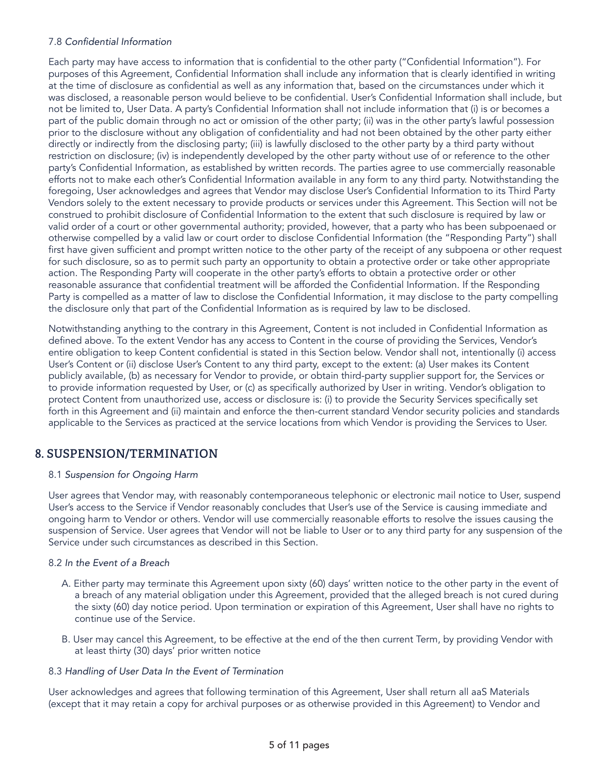#### 7.8 Confidential Information

Each party may have access to information that is confidential to the other party ("Confidential Information"). For purposes of this Agreement, Confidential Information shall include any information that is clearly identified in writing at the time of disclosure as confidential as well as any information that, based on the circumstances under which it was disclosed, a reasonable person would believe to be confidential. User's Confidential Information shall include, but not be limited to, User Data. A party's Confidential Information shall not include information that (i) is or becomes a part of the public domain through no act or omission of the other party; (ii) was in the other party's lawful possession prior to the disclosure without any obligation of confidentiality and had not been obtained by the other party either directly or indirectly from the disclosing party; (iii) is lawfully disclosed to the other party by a third party without restriction on disclosure; (iv) is independently developed by the other party without use of or reference to the other party's Confidential Information, as established by written records. The parties agree to use commercially reasonable efforts not to make each other's Confidential Information available in any form to any third party. Notwithstanding the foregoing, User acknowledges and agrees that Vendor may disclose User's Confidential Information to its Third Party Vendors solely to the extent necessary to provide products or services under this Agreement. This Section will not be construed to prohibit disclosure of Confidential Information to the extent that such disclosure is required by law or valid order of a court or other governmental authority; provided, however, that a party who has been subpoenaed or otherwise compelled by a valid law or court order to disclose Confidential Information (the "Responding Party") shall first have given sufficient and prompt written notice to the other party of the receipt of any subpoena or other request for such disclosure, so as to permit such party an opportunity to obtain a protective order or take other appropriate action. The Responding Party will cooperate in the other party's efforts to obtain a protective order or other reasonable assurance that confidential treatment will be afforded the Confidential Information. If the Responding Party is compelled as a matter of law to disclose the Confidential Information, it may disclose to the party compelling the disclosure only that part of the Confidential Information as is required by law to be disclosed.

Notwithstanding anything to the contrary in this Agreement, Content is not included in Confidential Information as defined above. To the extent Vendor has any access to Content in the course of providing the Services, Vendor's entire obligation to keep Content confidential is stated in this Section below. Vendor shall not, intentionally (i) access User's Content or (ii) disclose User's Content to any third party, except to the extent: (a) User makes its Content publicly available, (b) as necessary for Vendor to provide, or obtain third-party supplier support for, the Services or to provide information requested by User, or (c) as specifically authorized by User in writing. Vendor's obligation to protect Content from unauthorized use, access or disclosure is: (i) to provide the Security Services specifically set forth in this Agreement and (ii) maintain and enforce the then-current standard Vendor security policies and standards applicable to the Services as practiced at the service locations from which Vendor is providing the Services to User.

## **8. SUSPENSION/TERMINATION**

#### 8.1 *Suspension for Ongoing Harm*

User agrees that Vendor may, with reasonably contemporaneous telephonic or electronic mail notice to User, suspend User's access to the Service if Vendor reasonably concludes that User's use of the Service is causing immediate and ongoing harm to Vendor or others. Vendor will use commercially reasonable efforts to resolve the issues causing the suspension of Service. User agrees that Vendor will not be liable to User or to any third party for any suspension of the Service under such circumstances as described in this Section.

#### 8.2 *In the Event of a Breach*

- A. Either party may terminate this Agreement upon sixty (60) days' written notice to the other party in the event of a breach of any material obligation under this Agreement, provided that the alleged breach is not cured during the sixty (60) day notice period. Upon termination or expiration of this Agreement, User shall have no rights to continue use of the Service.
- B. User may cancel this Agreement, to be effective at the end of the then current Term, by providing Vendor with at least thirty (30) days' prior written notice

#### 8.3 *Handling of User Data In the Event of Termination*

User acknowledges and agrees that following termination of this Agreement, User shall return all aaS Materials (except that it may retain a copy for archival purposes or as otherwise provided in this Agreement) to Vendor and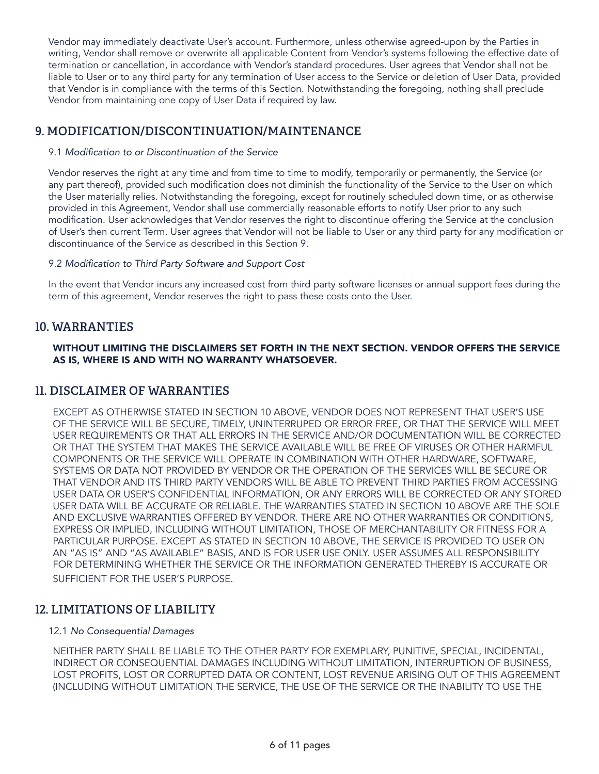Vendor may immediately deactivate User's account. Furthermore, unless otherwise agreed-upon by the Parties in writing, Vendor shall remove or overwrite all applicable Content from Vendor's systems following the effective date of termination or cancellation, in accordance with Vendor's standard procedures. User agrees that Vendor shall not be liable to User or to any third party for any termination of User access to the Service or deletion of User Data, provided that Vendor is in compliance with the terms of this Section. Notwithstanding the foregoing, nothing shall preclude Vendor from maintaining one copy of User Data if required by law.

## **9. MODIFICATION/DISCONTINUATION/MAINTENANCE**

#### 9.1 Modification to or Discontinuation of the Service

Vendor reserves the right at any time and from time to time to modify, temporarily or permanently, the Service (or any part thereof), provided such modification does not diminish the functionality of the Service to the User on which the User materially relies. Notwithstanding the foregoing, except for routinely scheduled down time, or as otherwise provided in this Agreement, Vendor shall use commercially reasonable efforts to notify User prior to any such modification. User acknowledges that Vendor reserves the right to discontinue offering the Service at the conclusion of User's then current Term. User agrees that Vendor will not be liable to User or any third party for any modification or discontinuance of the Service as described in this Section 9.

#### 9.2 Modification to Third Party Software and Support Cost

In the event that Vendor incurs any increased cost from third party software licenses or annual support fees during the term of this agreement, Vendor reserves the right to pass these costs onto the User.

### **10. WARRANTIES**

#### WITHOUT LIMITING THE DISCLAIMERS SET FORTH IN THE NEXT SECTION. VENDOR OFFERS THE SERVICE AS IS, WHERE IS AND WITH NO WARRANTY WHATSOEVER.

#### **11. DISCLAIMER OF WARRANTIES**

EXCEPT AS OTHERWISE STATED IN SECTION 10 ABOVE, VENDOR DOES NOT REPRESENT THAT USER'S USE OF THE SERVICE WILL BE SECURE, TIMELY, UNINTERRUPED OR ERROR FREE, OR THAT THE SERVICE WILL MEET USER REQUIREMENTS OR THAT ALL ERRORS IN THE SERVICE AND/OR DOCUMENTATION WILL BE CORRECTED OR THAT THE SYSTEM THAT MAKES THE SERVICE AVAILABLE WILL BE FREE OF VIRUSES OR OTHER HARMFUL COMPONENTS OR THE SERVICE WILL OPERATE IN COMBINATION WITH OTHER HARDWARE, SOFTWARE, SYSTEMS OR DATA NOT PROVIDED BY VENDOR OR THE OPERATION OF THE SERVICES WILL BE SECURE OR THAT VENDOR AND ITS THIRD PARTY VENDORS WILL BE ABLE TO PREVENT THIRD PARTIES FROM ACCESSING USER DATA OR USER'S CONFIDENTIAL INFORMATION, OR ANY ERRORS WILL BE CORRECTED OR ANY STORED USER DATA WILL BE ACCURATE OR RELIABLE. THE WARRANTIES STATED IN SECTION 10 ABOVE ARE THE SOLE AND EXCLUSIVE WARRANTIES OFFERED BY VENDOR. THERE ARE NO OTHER WARRANTIES OR CONDITIONS, EXPRESS OR IMPLIED, INCLUDING WITHOUT LIMITATION, THOSE OF MERCHANTABILITY OR FITNESS FOR A PARTICULAR PURPOSE. EXCEPT AS STATED IN SECTION 10 ABOVE, THE SERVICE IS PROVIDED TO USER ON AN "AS IS" AND "AS AVAILABLE" BASIS, AND IS FOR USER USE ONLY. USER ASSUMES ALL RESPONSIBILITY FOR DETERMINING WHETHER THE SERVICE OR THE INFORMATION GENERATED THEREBY IS ACCURATE OR SUFFICIENT FOR THE USER'S PURPOSE.

## **12. LIMITATIONS OF LIABILITY**

#### 12.1 *No Consequential Damages*

NEITHER PARTY SHALL BE LIABLE TO THE OTHER PARTY FOR EXEMPLARY, PUNITIVE, SPECIAL, INCIDENTAL, INDIRECT OR CONSEQUENTIAL DAMAGES INCLUDING WITHOUT LIMITATION, INTERRUPTION OF BUSINESS, LOST PROFITS, LOST OR CORRUPTED DATA OR CONTENT, LOST REVENUE ARISING OUT OF THIS AGREEMENT (INCLUDING WITHOUT LIMITATION THE SERVICE, THE USE OF THE SERVICE OR THE INABILITY TO USE THE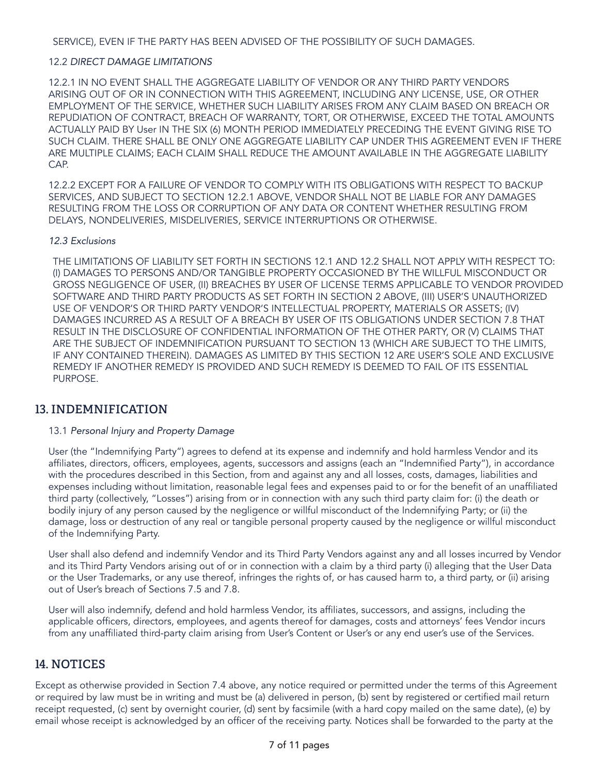SERVICE), EVEN IF THE PARTY HAS BEEN ADVISED OF THE POSSIBILITY OF SUCH DAMAGES.

#### 12.2 *DIRECT DAMAGE LIMITATIONS*

12.2.1 IN NO EVENT SHALL THE AGGREGATE LIABILITY OF VENDOR OR ANY THIRD PARTY VENDORS ARISING OUT OF OR IN CONNECTION WITH THIS AGREEMENT, INCLUDING ANY LICENSE, USE, OR OTHER EMPLOYMENT OF THE SERVICE, WHETHER SUCH LIABILITY ARISES FROM ANY CLAIM BASED ON BREACH OR REPUDIATION OF CONTRACT, BREACH OF WARRANTY, TORT, OR OTHERWISE, EXCEED THE TOTAL AMOUNTS ACTUALLY PAID BY User IN THE SIX (6) MONTH PERIOD IMMEDIATELY PRECEDING THE EVENT GIVING RISE TO SUCH CLAIM. THERE SHALL BE ONLY ONE AGGREGATE LIABILITY CAP UNDER THIS AGREEMENT EVEN IF THERE ARE MULTIPLE CLAIMS; EACH CLAIM SHALL REDUCE THE AMOUNT AVAILABLE IN THE AGGREGATE LIABILITY CAP.

12.2.2 EXCEPT FOR A FAILURE OF VENDOR TO COMPLY WITH ITS OBLIGATIONS WITH RESPECT TO BACKUP SERVICES, AND SUBJECT TO SECTION 12.2.1 ABOVE, VENDOR SHALL NOT BE LIABLE FOR ANY DAMAGES RESULTING FROM THE LOSS OR CORRUPTION OF ANY DATA OR CONTENT WHETHER RESULTING FROM DELAYS, NONDELIVERIES, MISDELIVERIES, SERVICE INTERRUPTIONS OR OTHERWISE.

#### *12.3 Exclusions*

THE LIMITATIONS OF LIABILITY SET FORTH IN SECTIONS 12.1 AND 12.2 SHALL NOT APPLY WITH RESPECT TO: (I) DAMAGES TO PERSONS AND/OR TANGIBLE PROPERTY OCCASIONED BY THE WILLFUL MISCONDUCT OR GROSS NEGLIGENCE OF USER, (II) BREACHES BY USER OF LICENSE TERMS APPLICABLE TO VENDOR PROVIDED SOFTWARE AND THIRD PARTY PRODUCTS AS SET FORTH IN SECTION 2 ABOVE, (III) USER'S UNAUTHORIZED USE OF VENDOR'S OR THIRD PARTY VENDOR'S INTELLECTUAL PROPERTY, MATERIALS OR ASSETS; (IV) DAMAGES INCURRED AS A RESULT OF A BREACH BY USER OF ITS OBLIGATIONS UNDER SECTION 7.8 THAT RESULT IN THE DISCLOSURE OF CONFIDENTIAL INFORMATION OF THE OTHER PARTY, OR (V) CLAIMS THAT ARE THE SUBJECT OF INDEMNIFICATION PURSUANT TO SECTION 13 (WHICH ARE SUBJECT TO THE LIMITS, IF ANY CONTAINED THEREIN). DAMAGES AS LIMITED BY THIS SECTION 12 ARE USER'S SOLE AND EXCLUSIVE REMEDY IF ANOTHER REMEDY IS PROVIDED AND SUCH REMEDY IS DEEMED TO FAIL OF ITS ESSENTIAL **PURPOSE** 

## **13. INDEMNIFICATION**

#### 13.1 Personal Injury and Property Damage

User (the "Indemnifying Party") agrees to defend at its expense and indemnify and hold harmless Vendor and its affiliates, directors, officers, employees, agents, successors and assigns (each an "Indemnified Party"), in accordance with the procedures described in this Section, from and against any and all losses, costs, damages, liabilities and expenses including without limitation, reasonable legal fees and expenses paid to or for the benefit of an unaffiliated third party (collectively, "Losses") arising from or in connection with any such third party claim for: (i) the death or bodily injury of any person caused by the negligence or willful misconduct of the Indemnifying Party; or (ii) the damage, loss or destruction of any real or tangible personal property caused by the negligence or willful misconduct of the Indemnifying Party.

User shall also defend and indemnify Vendor and its Third Party Vendors against any and all losses incurred by Vendor and its Third Party Vendors arising out of or in connection with a claim by a third party (i) alleging that the User Data or the User Trademarks, or any use thereof, infringes the rights of, or has caused harm to, a third party, or (ii) arising out of User's breach of Sections 7.5 and 7.8.

User will also indemnify, defend and hold harmless Vendor, its affiliates, successors, and assigns, including the applicable officers, directors, employees, and agents thereof for damages, costs and attorneys' fees Vendor incurs from any unaffiliated third-party claim arising from User's Content or User's or any end user's use of the Services.

## **14. NOTICES**

Except as otherwise provided in Section 7.4 above, any notice required or permitted under the terms of this Agreement or required by law must be in writing and must be (a) delivered in person, (b) sent by registered or certified mail return receipt requested, (c) sent by overnight courier, (d) sent by facsimile (with a hard copy mailed on the same date), (e) by email whose receipt is acknowledged by an officer of the receiving party. Notices shall be forwarded to the party at the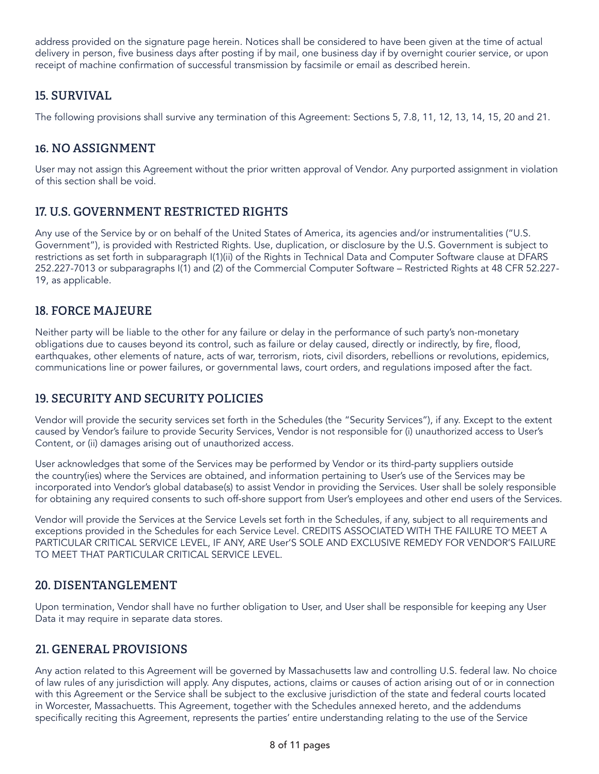address provided on the signature page herein. Notices shall be considered to have been given at the time of actual delivery in person, five business days after posting if by mail, one business day if by overnight courier service, or upon receipt of machine confirmation of successful transmission by facsimile or email as described herein.

## **15. SURVIVAL**

The following provisions shall survive any termination of this Agreement: Sections 5, 7.8, 11, 12, 13, 14, 15, 20 and 21.

## **16. NO ASSIGNMENT**

User may not assign this Agreement without the prior written approval of Vendor. Any purported assignment in violation of this section shall be void.

## **17. U.S. GOVERNMENT RESTRICTED RIGHTS**

Any use of the Service by or on behalf of the United States of America, its agencies and/or instrumentalities ("U.S. Government"), is provided with Restricted Rights. Use, duplication, or disclosure by the U.S. Government is subject to restrictions as set forth in subparagraph I(1)(ii) of the Rights in Technical Data and Computer Software clause at DFARS 252.227-7013 or subparagraphs I(1) and (2) of the Commercial Computer Software – Restricted Rights at 48 CFR 52.227- 19, as applicable.

## **18. FORCE MAJEURE**

Neither party will be liable to the other for any failure or delay in the performance of such party's non-monetary obligations due to causes beyond its control, such as failure or delay caused, directly or indirectly, by fire, flood, earthquakes, other elements of nature, acts of war, terrorism, riots, civil disorders, rebellions or revolutions, epidemics, communications line or power failures, or governmental laws, court orders, and regulations imposed after the fact.

## **19. SECURITY AND SECURITY POLICIES**

Vendor will provide the security services set forth in the Schedules (the "Security Services"), if any. Except to the extent caused by Vendor's failure to provide Security Services, Vendor is not responsible for (i) unauthorized access to User's Content, or (ii) damages arising out of unauthorized access.

User acknowledges that some of the Services may be performed by Vendor or its third-party suppliers outside the country(ies) where the Services are obtained, and information pertaining to User's use of the Services may be incorporated into Vendor's global database(s) to assist Vendor in providing the Services. User shall be solely responsible for obtaining any required consents to such off-shore support from User's employees and other end users of the Services.

Vendor will provide the Services at the Service Levels set forth in the Schedules, if any, subject to all requirements and exceptions provided in the Schedules for each Service Level. CREDITS ASSOCIATED WITH THE FAILURE TO MEET A PARTICULAR CRITICAL SERVICE LEVEL, IF ANY, ARE User'S SOLE AND EXCLUSIVE REMEDY FOR VENDOR'S FAILURE TO MEET THAT PARTICULAR CRITICAL SERVICE LEVEL.

## **20. DISENTANGLEMENT**

Upon termination, Vendor shall have no further obligation to User, and User shall be responsible for keeping any User Data it may require in separate data stores.

## **21. GENERAL PROVISIONS**

Any action related to this Agreement will be governed by Massachusetts law and controlling U.S. federal law. No choice of law rules of any jurisdiction will apply. Any disputes, actions, claims or causes of action arising out of or in connection with this Agreement or the Service shall be subject to the exclusive jurisdiction of the state and federal courts located in Worcester, Massachuetts. This Agreement, together with the Schedules annexed hereto, and the addendums specifically reciting this Agreement, represents the parties' entire understanding relating to the use of the Service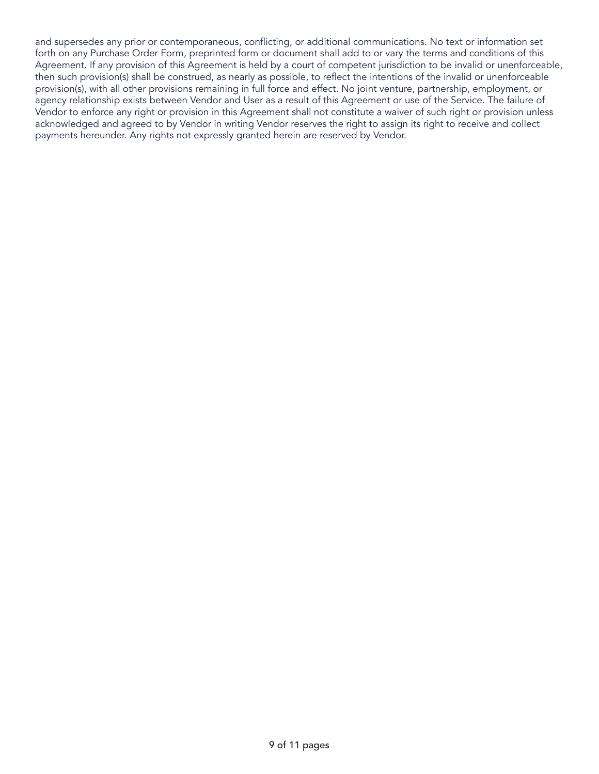and supersedes any prior or contemporaneous, conflicting, or additional communications. No text or information set forth on any Purchase Order Form, preprinted form or document shall add to or vary the terms and conditions of this Agreement. If any provision of this Agreement is held by a court of competent jurisdiction to be invalid or unenforceable, then such provision(s) shall be construed, as nearly as possible, to reflect the intentions of the invalid or unenforceable provision(s), with all other provisions remaining in full force and effect. No joint venture, partnership, employment, or agency relationship exists between Vendor and User as a result of this Agreement or use of the Service. The failure of Vendor to enforce any right or provision in this Agreement shall not constitute a waiver of such right or provision unless acknowledged and agreed to by Vendor in writing Vendor reserves the right to assign its right to receive and collect payments hereunder. Any rights not expressly granted herein are reserved by Vendor.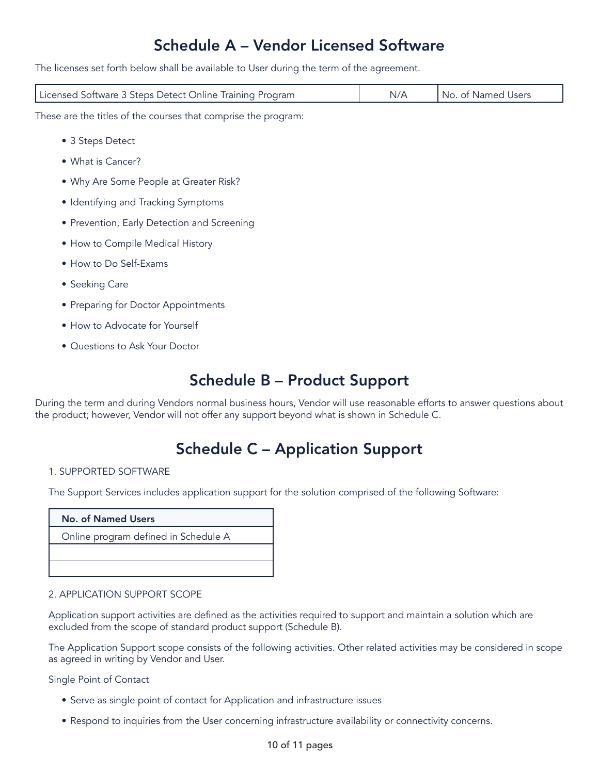## Schedule A – Vendor Licensed Software

The licenses set forth below shall be available to User during the term of the agreement.

| Licensed Software 3 Steps Detect Online Training Program | I No. of Named Users I |
|----------------------------------------------------------|------------------------|
|                                                          |                        |

These are the titles of the courses that comprise the program:

- 3 Steps Detect
- What is Cancer?
- Why Are Some People at Greater Risk?
- Identifying and Tracking Symptoms
- Prevention, Early Detection and Screening
- How to Compile Medical History
- How to Do Self-Exams
- Seeking Care
- Preparing for Doctor Appointments
- How to Advocate for Yourself
- Questions to Ask Your Doctor

## Schedule B – Product Support

During the term and during Vendors normal business hours, Vendor will use reasonable efforts to answer questions about the product; however, Vendor will not offer any support beyond what is shown in Schedule C.

## Schedule C – Application Support

#### 1. SUPPORTED SOFTWARE

The Support Services includes application support for the solution comprised of the following Software:

#### No. of Named Users

Online program defined in Schedule A

#### 2. APPLICATION SUPPORT SCOPE

Application support activities are defined as the activities required to support and maintain a solution which are excluded from the scope of standard product support (Schedule B).

The Application Support scope consists of the following activities. Other related activities may be considered in scope as agreed in writing by Vendor and User.

Single Point of Contact

- Serve as single point of contact for Application and infrastructure issues
- Respond to inquiries from the User concerning infrastructure availability or connectivity concerns.